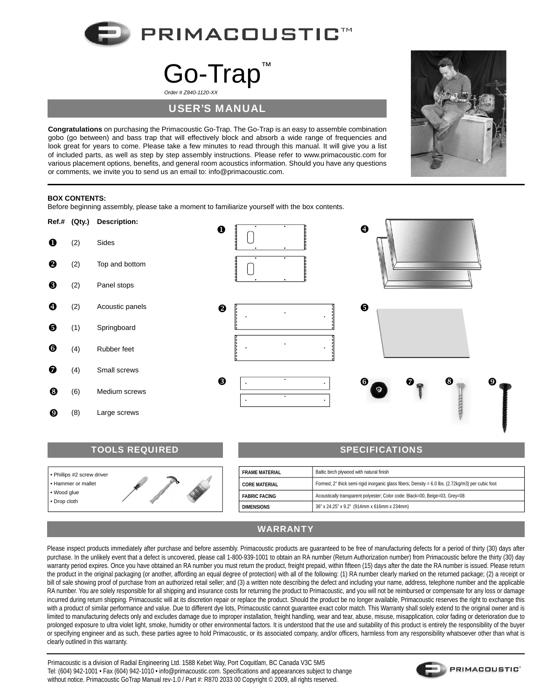

## Go-Trap *Order # Z840-1120-XX*

## USER'S MANUAL

**Congratulations** on purchasing the Primacoustic Go-Trap. The Go-Trap is an easy to assemble combination gobo (go between) and bass trap that will effectively block and absorb a wide range of frequencies and look great for years to come. Please take a few minutes to read through this manual. It will give you a list of included parts, as well as step by step assembly instructions. Please refer to www.primacoustic.com for various placement options, benefits, and general room acoustics information. Should you have any questions or comments, we invite you to send us an email to: info@primacoustic.com.



## **BOX CONTENTS:**

Before beginning assembly, please take a moment to familiarize yourself with the box contents.



| <b>TOOLS REQUIRED</b>                                                                       |  |  |                       | <b>SPECIFICATIONS</b>                                                                             |  |
|---------------------------------------------------------------------------------------------|--|--|-----------------------|---------------------------------------------------------------------------------------------------|--|
|                                                                                             |  |  |                       |                                                                                                   |  |
| │ • Phillips #2 screw driver<br>Hammer or mallet<br>$\cdot$ Wood glue<br>$\cdot$ Drop cloth |  |  | <b>FRAME MATERIAL</b> | Baltic birch plywood with natural finish                                                          |  |
|                                                                                             |  |  | <b>CORE MATERIAL</b>  | Formed, 2" thick semi rigid inorganic glass fibers; Density = 6.0 lbs. (2.72kg/m3) per cubic foot |  |
|                                                                                             |  |  | <b>FABRIC FACING</b>  | Acoustically transparent polyester; Color code: Black=00, Beige=03, Grey=08                       |  |
|                                                                                             |  |  | <b>DIMENSIONS</b>     | 36" x 24.25" x 9.2" (914mm x 616mm x 234mm)                                                       |  |
|                                                                                             |  |  |                       |                                                                                                   |  |

## WARRANTY

Please inspect products immediately after purchase and before assembly. Primacoustic products are quaranteed to be free of manufacturing defects for a period of thirty (30) days after purchase. In the unlikely event that a defect is uncovered, please call 1-800-939-1001 to obtain an RA number (Return Authorization number) from Primacoustic before the thirty (30) day warranty period expires. Once you have obtained an RA number you must return the product, freight prepaid, within fifteen (15) days after the date the RA number is issued. Please return the product in the original packaging (or another, affording an equal degree of protection) with all of the following: (1) RA number clearly marked on the returned package; (2) a receipt or bill of sale showing proof of purchase from an authorized retail seller; and (3) a written note describing the defect and including your name, address, telephone number and the applicable RA number. You are solely responsible for all shipping and insurance costs for returning the product to Primacoustic, and you will not be reimbursed or compensate for any loss or damage incurred during return shipping. Primacoustic will at its discretion repair or replace the product. Should the product be no longer available, Primacoustic reserves the right to exchange this with a product of similar performance and value. Due to different dye lots, Primacoustic cannot guarantee exact color match. This Warranty shall solely extend to the original owner and is limited to manufacturing defects only and excludes damage due to improper installation, freight handling, wear and tear, abuse, misuse, misapplication, color fading or deterioration due to prolonged exposure to ultra violet light, smoke, humidity or other environmental factors. It is understood that the use and suitability of this product is entirely the responsibility of the buyer or specifying engineer and as such, these parties agree to hold Primacoustic, or its associated company, and/or officers, harmless from any responsibility whatsoever other than what is clearly outlined in this warranty.

Primacoustic is a division of Radial Engineering Ltd. 1588 Kebet Way, Port Coquitlam, BC Canada V3C 5M5 Tel: (604) 942-1001 • Fax (604) 942-1010 • info@primacoustic.com. Specifications and appearances subject to change without notice. Primacoustic GoTrap Manual rev-1.0 / Part #: R870 2033 00 Copyright © 2009, all rights reserved.